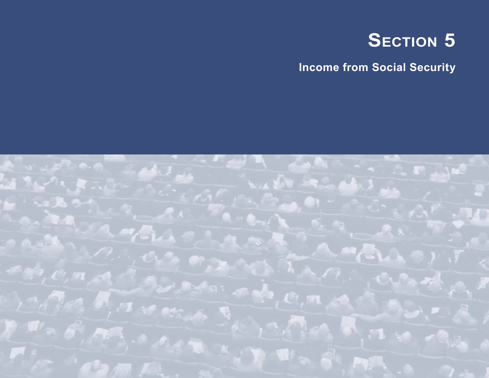# **SECTION 5**

**Income from Social Security**

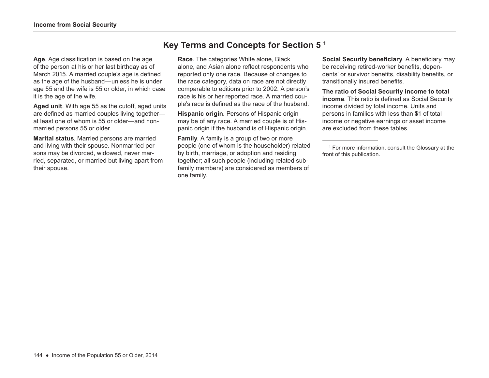**Age**. Age classification is based on the age of the person at his or her last birthday as of March 2015. A married couple's age is defined as the age of the husband—unless he is under age 55 and the wife is 55 or older, in which case it is the age of the wife.

**Aged unit**. With age 55 as the cutoff, aged units are defined as married couples living together at least one of whom is 55 or older—and nonmarried persons 55 or older.

**Marital status**. Married persons are married and living with their spouse. Nonmarried persons may be divorced, widowed, never married, separated, or married but living apart from their spouse.

# **Key Terms and Concepts for Section 5 1**

**Race**. The categories White alone, Black alone, and Asian alone reflect respondents who reported only one race. Because of changes to the race category, data on race are not directly comparable to editions prior to 2002. A person's race is his or her reported race. A married couple's race is defined as the race of the husband.

**Hispanic origin**. Persons of Hispanic origin may be of any race. A married couple is of Hispanic origin if the husband is of Hispanic origin.

**Family**. A family is a group of two or more people (one of whom is the householder) related by birth, marriage, or adoption and residing together; all such people (including related subfamily members) are considered as members of one family.

**Social Security beneficiary**. A beneficiary may be receiving retired-worker benefits, dependents' or survivor benefits, disability benefits, or transitionally insured benefits.

**The ratio of Social Security income to total income**. This ratio is defined as Social Security income divided by total income. Units and persons in families with less than \$1 of total income or negative earnings or asset income are excluded from these tables.

<sup>1</sup> For more information, consult the Glossary at the front of this publication.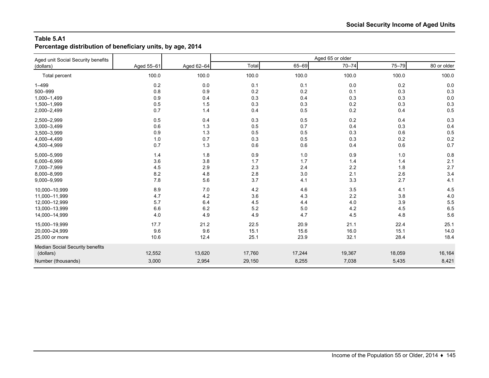## **Table 5.A1**

**Percentage distribution of beneficiary units, by age, 2014**

| Aged unit Social Security benefits |            |            |        |         | Aged 65 or older |        |             |
|------------------------------------|------------|------------|--------|---------|------------------|--------|-------------|
| (dollars)                          | Aged 55-61 | Aged 62-64 | Total  | 65-69   | $70 - 74$        | 75-79  | 80 or older |
| Total percent                      | 100.0      | 100.0      | 100.0  | 100.0   | 100.0            | 100.0  | 100.0       |
| $1 - 499$                          | $0.2\,$    | 0.0        | 0.1    | 0.1     | 0.0              | 0.2    | 0.0         |
| 500-999                            | 0.8        | 0.9        | 0.2    | 0.2     | 0.1              | 0.3    | 0.3         |
| 1,000-1,499                        | 0.9        | 0.4        | 0.3    | 0.4     | 0.3              | 0.3    | 0.0         |
| 1,500-1,999                        | 0.5        | 1.5        | 0.3    | 0.3     | 0.2              | 0.3    | 0.3         |
| 2,000-2,499                        | 0.7        | 1.4        | 0.4    | 0.5     | 0.2              | 0.4    | 0.5         |
| 2,500-2,999                        | 0.5        | 0.4        | 0.3    | 0.5     | 0.2              | 0.4    | 0.3         |
| 3,000-3,499                        | 0.6        | 1.3        | 0.5    | 0.7     | 0.4              | 0.3    | 0.4         |
| 3,500-3,999                        | 0.9        | 1.3        | 0.5    | 0.5     | 0.3              | 0.6    | 0.5         |
| 4,000-4,499                        | 1.0        | 0.7        | 0.3    | 0.5     | 0.3              | 0.2    | 0.2         |
| 4,500-4,999                        | 0.7        | 1.3        | 0.6    | 0.6     | 0.4              | 0.6    | 0.7         |
| 5,000-5,999                        | 1.4        | 1.8        | 0.9    | 1.0     | 0.9              | 1.0    | 0.8         |
| 6,000-6,999                        | 3.6        | 3.8        | 1.7    | 1.7     | 1.4              | 1.4    | 2.1         |
| 7,000-7,999                        | 4.5        | 2.9        | 2.3    | 2.4     | 2.2              | 1.8    | 2.7         |
| 8,000-8,999                        | 8.2        | 4.8        | 2.8    | 3.0     | 2.1              | 2.6    | 3.4         |
| 9,000-9,999                        | 7.8        | 5.6        | 3.7    | 4.1     | 3.3              | 2.7    | 4.1         |
| 10,000-10,999                      | 8.9        | 7.0        | 4.2    | 4.6     | 3.5              | 4.1    | 4.5         |
| 11,000-11,999                      | 4.7        | 4.2        | 3.6    | 4.3     | 2.2              | 3.8    | 4.0         |
| 12,000-12,999                      | 5.7        | 6.4        | 4.5    | 4.4     | 4.0              | 3.9    | 5.5         |
| 13,000-13,999                      | 6.6        | 6.2        | 5.2    | $5.0\,$ | 4.2              | 4.5    | 6.5         |
| 14,000-14,999                      | 4.0        | 4.9        | 4.9    | 4.7     | 4.5              | 4.8    | 5.6         |
| 15,000-19,999                      | 17.7       | 21.2       | 22.5   | 20.9    | 21.1             | 22.4   | 25.1        |
| 20,000-24,999                      | 9.6        | 9.6        | 15.1   | 15.6    | 16.0             | 15.1   | 14.0        |
| 25,000 or more                     | 10.6       | 12.4       | 25.1   | 23.9    | 32.1             | 28.4   | 18.4        |
| Median Social Security benefits    |            |            |        |         |                  |        |             |
| (dollars)                          | 12,552     | 13,620     | 17,760 | 17,244  | 19,367           | 18,059 | 16,164      |
| Number (thousands)                 | 3,000      | 2,954      | 29,150 | 8,255   | 7,038            | 5,435  | 8,421       |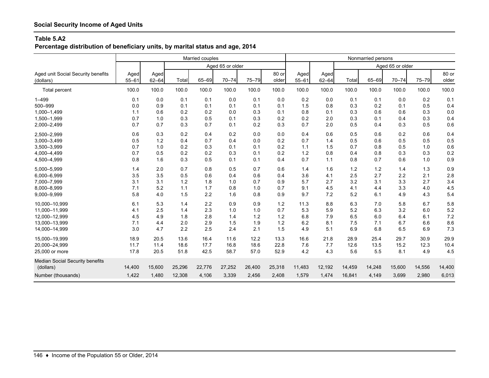#### **Table 5.A2**

**Percentage distribution of beneficiary units, by marital status and age, 2014**

|                                                  |                      |                      |                      | Married couples      |                      |                      |                      |                    |                    |                     | Nonmarried persons  |                     |                     |                     |
|--------------------------------------------------|----------------------|----------------------|----------------------|----------------------|----------------------|----------------------|----------------------|--------------------|--------------------|---------------------|---------------------|---------------------|---------------------|---------------------|
|                                                  |                      |                      |                      |                      | Aged 65 or older     |                      |                      |                    |                    |                     |                     | Aged 65 or older    |                     |                     |
| Aged unit Social Security benefits<br>(dollars)  | Aged<br>$55 - 61$    | Aged<br>$62 - 64$    | Total                | 65-69                | $70 - 74$            | 75-79                | 80 or<br>older       | Aged<br>$55 - 61$  | Aged<br>$62 - 64$  | Total               | 65-69               | $70 - 74$           | 75-79               | 80 or<br>older      |
| <b>Total percent</b>                             | 100.0                | 100.0                | 100.0                | 100.0                | 100.0                | 100.0                | 100.0                | 100.0              | 100.0              | 100.0               | 100.0               | 100.0               | 100.0               | 100.0               |
| $1 - 499$<br>500-999                             | 0.1                  | 0.0                  | 0.1                  | 0.1                  | 0.0<br>0.1           | 0.1<br>0.1           | 0.0                  | 0.2                | 0.0                | 0.1                 | 0.1                 | 0.0<br>0.1          | 0.2                 | 0.1                 |
| 1,000-1,499                                      | 0.0<br>1.1           | 0.9<br>0.6           | 0.1<br>0.2           | 0.1<br>0.2           | 0.0                  | 0.3                  | 0.1<br>0.1           | 1.5<br>0.8         | 0.8<br>0.1         | 0.3<br>0.3          | 0.2<br>0.6          | 0.6                 | 0.5<br>0.3          | 0.4<br>0.0          |
| 1,500-1,999<br>2,000-2,499                       | 0.7<br>0.7           | 1.0<br>0.7           | 0.3<br>0.3           | 0.5<br>0.7           | 0.1<br>0.1           | 0.3<br>0.2           | 0.2<br>0.3           | 0.2<br>0.7         | 2.0<br>2.0         | 0.3<br>0.5          | 0.1<br>0.4          | 0.4<br>0.3          | 0.3<br>0.5          | 0.4<br>0.6          |
| 2,500-2,999<br>3,000-3,499                       | 0.6<br>0.5           | 0.3<br>1.2           | 0.2<br>0.4           | 0.4<br>0.7           | 0.2<br>0.4           | 0.0<br>0.0           | 0.0<br>0.2           | 0.4<br>0.7         | 0.6<br>1.4         | 0.5<br>0.5          | 0.6<br>0.6          | 0.2<br>0.5          | 0.6<br>0.5          | 0.4<br>0.5          |
| 3,500-3,999<br>4,000-4,499                       | 0.7<br>0.7           | 1.0<br>0.5           | 0.2<br>0.2           | 0.3<br>0.2           | 0.1<br>0.3           | 0.1<br>0.1           | 0.2<br>0.2           | 1.1<br>1.2         | 1.5<br>0.8         | 0.7<br>0.4          | 0.8<br>0.8          | 0.5<br>0.3          | 1.0<br>0.3          | 0.6<br>0.2          |
| 4,500-4,999                                      | 0.8                  | 1.6                  | 0.3                  | 0.5                  | 0.1                  | 0.1                  | 0.4                  | 0.7                | 1.1                | 0.8                 | 0.7                 | 0.6                 | 1.0                 | 0.9                 |
| 5,000-5,999<br>6,000-6,999                       | 1.4<br>3.5           | 2.0<br>3.5           | 0.7<br>0.5           | 0.8<br>0.6           | 0.5<br>0.4           | 0.7<br>0.6           | 0.6<br>0.4           | 1.4<br>3.6         | 1.6<br>4.1         | 1.2<br>2.5          | 1.2<br>2.7          | 1.4<br>2.2          | 1.3<br>2.1          | 0.9<br>2.8          |
| 7,000-7,999<br>8,000-8,999                       | 3.1<br>7.1           | 3.1<br>5.2           | 1.2<br>1.1           | 1.8<br>1.7           | 1.0<br>0.8           | 0.7<br>1.0           | 0.9<br>0.7           | 5.7<br>9.1         | 2.7<br>4.5         | 3.2<br>4.1          | 3.1<br>4.4          | 3.3<br>3.3          | 2.7<br>4.0          | 3.4<br>4.5          |
| 9,000-9,999                                      | 5.8                  | 4.0                  | 1.5                  | 2.2                  | 1.6                  | 0.8                  | 0.9                  | 9.7                | 7.2                | 5.2                 | 6.1                 | 4.9                 | 4.3                 | 5.4                 |
| 10,000-10,999<br>11,000-11,999                   | 6.1<br>4.1           | 5.3<br>2.5           | 1.4<br>1.4           | 2.2<br>2.3           | 0.9<br>1.0           | 0.9<br>1.0           | 1.2<br>0.7           | 11.3<br>5.3        | 8.8<br>5.9         | 6.3<br>5.2          | 7.0<br>6.3          | 5.8<br>3.2          | 6.7<br>6.0          | 5.8<br>5.2          |
| 12,000-12,999<br>13.000-13.999                   | 4.5<br>7.1           | 4.9<br>4.4           | 1.8<br>2.0           | 2.8<br>2.9           | 1.4<br>1.5           | 1.2<br>1.9           | 1.2<br>1.2           | 6.8<br>6.2         | 7.9<br>8.1         | 6.5<br>7.5          | 6.0<br>7.1          | 6.4<br>6.7          | 6.1<br>6.6          | 7.2<br>8.6          |
| 14,000-14,999                                    | 3.0                  | 4.7                  | 2.2                  | 2.5                  | 2.4                  | 2.1                  | 1.5                  | 4.9                | 5.1                | 6.9                 | 6.8                 | 6.5                 | 6.9                 | 7.3                 |
| 15.000-19.999<br>20,000-24,999<br>25,000 or more | 18.9<br>11.7<br>17.8 | 20.5<br>11.4<br>20.5 | 13.6<br>18.6<br>51.8 | 16.4<br>17.7<br>42.5 | 11.6<br>16.8<br>58.7 | 12.2<br>18.6<br>57.0 | 13.3<br>22.8<br>52.9 | 16.6<br>7.6<br>4.2 | 21.8<br>7.7<br>4.3 | 28.9<br>12.6<br>5.6 | 25.4<br>13.5<br>5.5 | 29.7<br>15.2<br>8.1 | 30.9<br>12.3<br>4.9 | 29.9<br>10.4<br>4.5 |
| Median Social Security benefits<br>(dollars)     | 14,400               | 15,600               | 25,296               | 22,776               | 27,252               | 26,400               | 25,318               | 11,483             | 12,192             | 14,459              | 14,248              | 15,600              | 14,556              | 14,400              |
| Number (thousands)                               | 1,422                | 1,480                | 12,308               | 4,106                | 3,339                | 2,456                | 2,408                | 1,579              | 1,474              | 16,841              | 4,149               | 3,699               | 2,980               | 6,013               |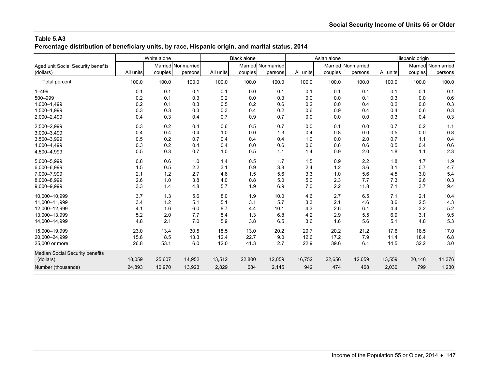## **Table 5.A3 Percentage distribution of beneficiary units, by race, Hispanic origin, and marital status, 2014**

|                                                 |           | White alone |                               |           | <b>Black alone</b> |                               |           | Asian alone |                               |           | Hispanic origin |                               |
|-------------------------------------------------|-----------|-------------|-------------------------------|-----------|--------------------|-------------------------------|-----------|-------------|-------------------------------|-----------|-----------------|-------------------------------|
| Aged unit Social Security benefits<br>(dollars) | All units | couples     | Married Nonmarried<br>persons | All units | couples            | Married Nonmarried<br>persons | All units | couples     | Married Nonmarried<br>persons | All units | couples         | Married Nonmarried<br>persons |
| Total percent                                   | 100.0     | 100.0       | 100.0                         | 100.0     | 100.0              | 100.0                         | 100.0     | 100.0       | 100.0                         | 100.0     | 100.0           | 100.0                         |
| $1 - 499$                                       | 0.1       | 0.1         | 0.1                           | 0.1       | 0.0                | 0.1                           | 0.1       | 0.1         | 0.1                           | 0.1       | 0.1             | 0.1                           |
| 500-999                                         | 0.2       | 0.1         | 0.3                           | 0.2       | 0.0                | 0.3                           | 0.0       | 0.0         | 0.1                           | 0.3       | 0.0             | 0.6                           |
| 1,000-1,499                                     | 0.2       | 0.1         | 0.3                           | 0.5       | 0.2                | 0.6                           | 0.2       | 0.0         | 0.4                           | 0.2       | 0.0             | 0.3                           |
| 1,500-1,999                                     | 0.3       | 0.3         | 0.3                           | 0.3       | 0.4                | 0.2                           | 0.6       | 0.9         | 0.4                           | 0.4       | 0.6             | 0.3                           |
| 2,000-2,499                                     | 0.4       | 0.3         | 0.4                           | 0.7       | 0.9                | 0.7                           | 0.0       | 0.0         | 0.0                           | 0.3       | 0.4             | 0.3                           |
| 2,500-2,999                                     | 0.3       | 0.2         | 0.4                           | 0.6       | 0.5                | 0.7                           | 0.0       | 0.1         | 0.0                           | 0.7       | 0.2             | 1.1                           |
| 3,000-3,499                                     | 0.4       | 0.4         | 0.4                           | 1.0       | 0.0                | 1.3                           | 0.4       | 0.8         | 0.0                           | 0.5       | 0.0             | 0.8                           |
| 3,500-3,999                                     | 0.5       | 0.2         | 0.7                           | 0.4       | 0.4                | 0.4                           | 1.0       | 0.0         | 2.0                           | 0.7       | 1.1             | 0.4                           |
| 4,000-4,499                                     | 0.3       | 0.2         | 0.4                           | 0.4       | 0.0                | 0.6                           | 0.6       | 0.6         | 0.6                           | 0.5       | 0.4             | 0.6                           |
| 4,500-4,999                                     | 0.5       | 0.3         | 0.7                           | 1.0       | 0.5                | 1.1                           | 1.4       | 0.9         | 2.0                           | 1.8       | 1.1             | 2.3                           |
| 5,000-5,999                                     | 0.8       | 0.6         | 1.0                           | 1.4       | 0.5                | 1.7                           | 1.5       | 0.9         | 2.2                           | 1.8       | 1.7             | 1.9                           |
| 6,000-6,999                                     | 1.5       | 0.5         | 2.2                           | 3.1       | 0.9                | 3.8                           | 2.4       | $1.2$       | 3.6                           | 3.1       | 0.7             | 4.7                           |
| 7,000-7,999                                     | 2.1       | 1.2         | 2.7                           | 4.6       | 1.5                | 5.6                           | 3.3       | 1.0         | 5.6                           | 4.5       | 3.0             | 5.4                           |
| 8,000-8,999                                     | 2.6       | 1.0         | 3.8                           | 4.0       | 0.8                | 5.0                           | 5.0       | 2.3         | 7.7                           | 7.3       | 2.6             | 10.3                          |
| 9,000-9,999                                     | 3.3       | 1.4         | 4.8                           | 5.7       | 1.9                | 6.9                           | 7.0       | 2.2         | 11.8                          | 7.1       | 3.7             | 9.4                           |
| 10,000-10,999                                   | 3.7       | 1.3         | 5.6                           | 8.0       | 1.9                | 10.0                          | 4.6       | 2.7         | 6.5                           | 7.1       | 2.1             | 10.4                          |
| 11,000-11,999                                   | 3.4       | 1.2         | 5.1                           | 5.1       | 3.1                | 5.7                           | 3.3       | 2.1         | 4.6                           | 3.6       | 2.5             | 4.3                           |
| 12,000-12,999                                   | 4.1       | 1.6         | 6.0                           | 8.7       | 4.4                | 10.1                          | 4.3       | 2.6         | 6.1                           | 4.4       | 3.2             | 5.2                           |
| 13,000-13,999                                   | 5.2       | 2.0         | 7.7                           | 5.4       | 1.3                | 6.8                           | 4.2       | 2.9         | 5.5                           | 6.9       | 3.1             | 9.5                           |
| 14,000-14,999                                   | 4.8       | 2.1         | 7.0                           | 5.9       | 3.8                | 6.5                           | 3.6       | 1.6         | 5.6                           | 5.1       | 4.8             | 5.3                           |
| 15.000-19.999                                   | 23.0      | 13.4        | 30.5                          | 18.5      | 13.0               | 20.2                          | 20.7      | 20.2        | 21.2                          | 17.6      | 18.5            | 17.0                          |
| 20,000-24,999                                   | 15.6      | 18.5        | 13.3                          | 12.4      | 22.7               | 9.0                           | 12.6      | 17.2        | 7.9                           | 11.4      | 18.4            | 6.8                           |
| 25,000 or more                                  | 26.8      | 53.1        | 6.0                           | 12.0      | 41.3               | 2.7                           | 22.9      | 39.6        | 6.1                           | 14.5      | 32.2            | 3.0                           |
| Median Social Security benefits<br>(dollars)    | 18,059    | 25,607      | 14,952                        | 13,512    | 22,800             | 12,059                        | 16,752    | 22,656      | 12,059                        | 13,559    | 20,148          | 11,376                        |
| Number (thousands)                              | 24,893    | 10,970      | 13,923                        | 2,829     | 684                | 2,145                         | 942       | 474         | 468                           | 2,030     | 799             | 1,230                         |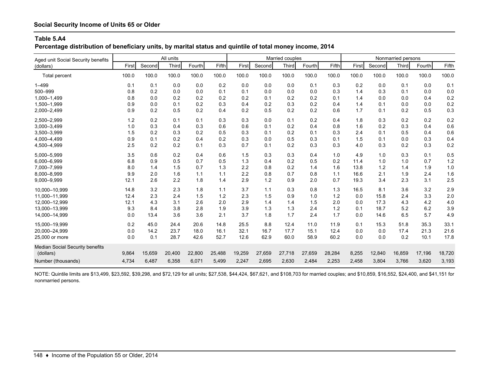## **Table 5.A4**

## **Percentage distribution of beneficiary units, by marital status and quintile of total money income, 2014**

| Aged unit Social Security benefits     |       |        | All units |        |        |        |        | Married couples |        |        |       |        | Nonmarried persons |        |        |
|----------------------------------------|-------|--------|-----------|--------|--------|--------|--------|-----------------|--------|--------|-------|--------|--------------------|--------|--------|
| (dollars)                              | First | Second | Third     | Fourth | Fifth  | First  | Second | Third           | Fourth | Fifth  | First | Second | <b>Third</b>       | Fourth | Fifth  |
| <b>Total percent</b>                   | 100.0 | 100.0  | 100.0     | 100.0  | 100.0  | 100.0  | 100.0  | 100.0           | 100.0  | 100.0  | 100.0 | 100.0  | 100.0              | 100.0  | 100.0  |
| $1 - 499$                              | 0.1   | 0.1    | 0.0       | 0.0    | 0.2    | 0.0    | 0.0    | 0.0             | 0.1    | 0.3    | 0.2   | 0.0    | 0.1                | 0.0    | 0.1    |
| 500-999                                | 0.8   | 0.2    | 0.0       | 0.0    | 0.1    | 0.1    | 0.0    | 0.0             | 0.0    | 0.3    | 1.4   | 0.3    | 0.1                | 0.0    | 0.0    |
| 1.000-1.499                            | 0.8   | 0.0    | 0.2       | 0.2    | 0.2    | 0.2    | 0.1    | 0.2             | 0.2    | 0.1    | 1.4   | 0.0    | 0.0                | 0.4    | 0.2    |
| 1,500-1,999                            | 0.9   | 0.0    | 0.1       | 0.2    | 0.3    | 0.4    | 0.2    | 0.3             | 0.2    | 0.4    | 1.4   | 0.1    | 0.0                | 0.0    | 0.2    |
| 2,000-2,499                            | 0.9   | 0.2    | 0.5       | 0.2    | 0.4    | 0.2    | 0.5    | 0.2             | 0.2    | 0.6    | 1.7   | 0.1    | 0.2                | 0.5    | 0.3    |
| 2,500-2,999                            | 1.2   | 0.2    | 0.1       | 0.1    | 0.3    | 0.3    | 0.0    | 0.1             | 0.2    | 0.4    | 1.8   | 0.3    | 0.2                | 0.2    | 0.2    |
| 3,000-3,499                            | 1.0   | 0.3    | 0.4       | 0.3    | 0.6    | 0.6    | 0.1    | 0.2             | 0.4    | 0.8    | 1.6   | 0.2    | 0.3                | 0.4    | 0.6    |
| 3,500-3,999                            | 1.5   | 0.2    | 0.3       | 0.2    | 0.5    | 0.3    | 0.1    | 0.2             | 0.1    | 0.3    | 2.4   | 0.1    | 0.5                | 0.4    | 0.6    |
| 4,000-4,499                            | 0.9   | 0.1    | 0.2       | 0.4    | 0.2    | 0.3    | 0.0    | 0.5             | 0.3    | 0.1    | 1.5   | 0.1    | 0.0                | 0.3    | 0.4    |
| 4,500-4,999                            | 2.5   | 0.2    | 0.2       | 0.1    | 0.3    | 0.7    | 0.1    | 0.2             | 0.3    | 0.3    | 4.0   | 0.3    | 0.2                | 0.3    | 0.2    |
| 5,000-5,999                            | 3.5   | 0.6    | 0.2       | 0.4    | 0.6    | 1.5    | 0.3    | 0.3             | 0.4    | 1.0    | 4.9   | 1.0    | 0.3                | 0.1    | 0.5    |
| 6,000-6,999                            | 6.8   | 0.9    | 0.5       | 0.7    | 0.5    | 1.3    | 0.4    | 0.2             | 0.5    | 0.2    | 11.4  | 1.0    | 1.0                | 0.7    | $1.2$  |
| 7,000-7,999                            | 8.0   | 1.4    | 1.5       | 0.7    | 1.3    | 2.2    | 0.8    | 0.2             | 1.4    | 1.6    | 13.8  | 1.2    | 1.4                | 1.9    | 1.0    |
| 8,000-8,999                            | 9.9   | 2.0    | 1.6       | 1.1    | 1.1    | 2.2    | 0.8    | 0.7             | 0.8    | 1.1    | 16.6  | 2.1    | 1.9                | 2.4    | 1.6    |
| 9,000-9,999                            | 12.1  | 2.6    | 2.2       | 1.8    | 1.4    | 2.9    | 1.2    | 0.9             | 2.0    | 0.7    | 19.3  | 3.4    | 2.3                | 3.1    | 2.5    |
| 10.000-10.999                          | 14.8  | 3.2    | 2.3       | 1.8    | 1.1    | 3.7    | 1.1    | 0.3             | 0.8    | 1.3    | 16.5  | 8.1    | 3.6                | 3.2    | 2.9    |
| 11.000-11.999                          | 12.4  | 2.3    | 2.4       | 1.5    | 1.2    | 2.3    | 1.5    | 0.9             | 1.0    | 1.2    | 0.0   | 15.8   | 2.4                | 3.3    | 2.0    |
| 12,000-12,999                          | 12.1  | 4.3    | 3.1       | 2.6    | 2.0    | 2.9    | 1.4    | 1.4             | 1.5    | 2.0    | 0.0   | 17.3   | 4.3                | 4.2    | 4.0    |
| 13,000-13,999                          | 9.3   | 8.4    | 3.8       | 2.8    | 1.9    | 3.9    | 1.3    | 1.3             | 2.4    | 1.2    | 0.1   | 18.7   | 5.2                | 6.2    | 3.9    |
| 14,000-14,999                          | 0.0   | 13.4   | 3.6       | 3.6    | 2.1    | 3.7    | 1.8    | 1.7             | 2.4    | 1.7    | 0.0   | 14.6   | 6.5                | 5.7    | 4.9    |
| 15,000-19,999                          | 0.2   | 45.0   | 24.4      | 20.6   | 14.8   | 25.5   | 8.8    | 12.4            | 11.0   | 11.9   | 0.1   | 15.3   | 51.8               | 35.3   | 33.1   |
| 20.000-24.999                          | 0.0   | 14.2   | 23.7      | 18.0   | 16.1   | 32.1   | 16.7   | 17.7            | 15.1   | 12.4   | 0.0   | 0.0    | 17.4               | 21.3   | 21.6   |
| 25,000 or more                         | 0.0   | 0.1    | 28.7      | 42.6   | 52.7   | 12.6   | 62.9   | 60.0            | 58.9   | 60.2   | 0.0   | 0.0    | 0.2                | 10.1   | 17.8   |
| <b>Median Social Security benefits</b> |       |        |           |        |        |        |        |                 |        |        |       |        |                    |        |        |
| (dollars)                              | 9,864 | 15,659 | 20,400    | 22,800 | 25,488 | 19,259 | 27,659 | 27,718          | 27,659 | 28,284 | 8,255 | 12,840 | 16,859             | 17,196 | 18,720 |
| Number (thousands)                     | 4,734 | 6,487  | 6,358     | 6,071  | 5,499  | 2,247  | 2,695  | 2,630           | 2,484  | 2,253  | 2,458 | 3,804  | 3,766              | 3,620  | 3,193  |

NOTE: Quintile limits are \$13,499, \$23,592, \$39,298, and \$72,129 for all units; \$27,538, \$44,424, \$67,621, and \$108,703 for married couples; and \$10,859, \$16,552, \$24,400, and \$41,151 for nonmarried persons.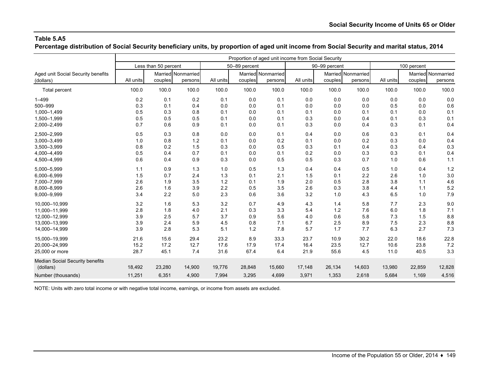## **Table 5.A5 Percentage distribution of Social Security beneficiary units, by proportion of aged unit income from Social Security and marital status, 2014**

|                                    |           |                      |                    |           |               |                    | Proportion of aged unit income from Social Security |                    |         |           |             |                    |
|------------------------------------|-----------|----------------------|--------------------|-----------|---------------|--------------------|-----------------------------------------------------|--------------------|---------|-----------|-------------|--------------------|
|                                    |           | Less than 50 percent |                    |           | 50-89 percent |                    |                                                     | 90-99 percent      |         |           | 100 percent |                    |
| Aged unit Social Security benefits |           |                      | Married Nonmarried |           |               | Married Nonmarried |                                                     | Married Nonmarried |         |           |             | Married Nonmarried |
| (dollars)                          | All units | couples              | persons            | All units | couples       | persons            | All units                                           | couples            | persons | All units | couples     | persons            |
| <b>Total percent</b>               | 100.0     | 100.0                | 100.0              | 100.0     | 100.0         | 100.0              | 100.0                                               | 100.0              | 100.0   | 100.0     | 100.0       | 100.0              |
| $1 - 499$                          | 0.2       | 0.1                  | 0.2                | 0.1       | 0.0           | 0.1                | 0.0                                                 | 0.0                | 0.0     | 0.0       | 0.0         | 0.0                |
| 500-999                            | 0.3       | 0.1                  | 0.4                | 0.0       | 0.0           | 0.1                | 0.0                                                 | 0.0                | 0.0     | 0.5       | 0.0         | 0.6                |
| 1,000-1,499                        | 0.5       | 0.3                  | 0.8                | 0.1       | 0.0           | 0.1                | 0.1                                                 | 0.0                | 0.1     | 0.1       | 0.0         | 0.1                |
| 1,500-1,999                        | 0.5       | 0.5                  | 0.5                | 0.1       | 0.0           | 0.1                | 0.3                                                 | 0.0                | 0.4     | 0.1       | 0.3         | 0.1                |
| 2,000-2,499                        | 0.7       | 0.6                  | 0.9                | 0.1       | 0.0           | 0.1                | 0.3                                                 | 0.0                | 0.4     | 0.3       | 0.1         | 0.4                |
| 2,500-2,999                        | 0.5       | 0.3                  | 0.8                | 0.0       | 0.0           | 0.1                | 0.4                                                 | 0.0                | 0.6     | 0.3       | 0.1         | 0.4                |
| 3,000-3,499                        | 1.0       | 0.8                  | 1.2                | 0.1       | 0.0           | 0.2                | 0.1                                                 | 0.0                | 0.2     | 0.3       | 0.0         | 0.4                |
| 3,500-3,999                        | 0.8       | 0.2                  | 1.5                | 0.3       | 0.0           | 0.5                | 0.3                                                 | 0.1                | 0.4     | 0.3       | 0.4         | 0.3                |
| 4,000-4,499                        | 0.5       | 0.4                  | 0.7                | 0.1       | 0.0           | 0.1                | 0.2                                                 | 0.0                | 0.3     | 0.3       | 0.1         | 0.4                |
| 4,500-4,999                        | 0.6       | 0.4                  | 0.9                | 0.3       | 0.0           | 0.5                | 0.5                                                 | 0.3                | 0.7     | 1.0       | 0.6         | 1.1                |
| 5,000-5,999                        | 1.1       | 0.9                  | 1.3                | 1.0       | 0.5           | 1.3                | 0.4                                                 | 0.4                | 0.5     | 1.0       | 0.4         | 1.2                |
| 6,000-6,999                        | 1.5       | 0.7                  | 2.4                | 1.3       | 0.1           | 2.1                | 1.5                                                 | 0.1                | 2.2     | 2.6       | 1.0         | 3.0                |
| 7,000-7,999                        | 2.6       | 1.9                  | 3.5                | 1.2       | 0.1           | 1.9                | 2.0                                                 | 0.5                | 2.8     | 3.8       | 1.1         | 4.6                |
| 8,000-8,999                        | 2.6       | 1.6                  | 3.9                | 2.2       | 0.5           | 3.5                | 2.6                                                 | 0.3                | 3.8     | 4.4       | 1.1         | 5.2                |
| 9,000-9,999                        | 3.4       | 2.2                  | 5.0                | 2.3       | 0.6           | 3.6                | 3.2                                                 | 1.0                | 4.3     | 6.5       | 1.0         | 7.9                |
| 10,000-10,999                      | 3.2       | 1.6                  | 5.3                | 3.2       | 0.7           | 4.9                | 4.3                                                 | 1.4                | 5.8     | 7.7       | 2.3         | 9.0                |
| 11,000-11,999                      | 2.8       | 1.8                  | 4.0                | 2.1       | 0.3           | 3.3                | 5.4                                                 | 1.2                | 7.6     | 6.0       | 1.8         | 7.1                |
| 12,000-12,999                      | 3.9       | 2.5                  | 5.7                | 3.7       | 0.9           | 5.6                | 4.0                                                 | 0.6                | 5.8     | 7.3       | 1.5         | 8.8                |
| 13,000-13,999                      | 3.9       | 2.4                  | 5.9                | 4.5       | 0.8           | 7.1                | 6.7                                                 | 2.5                | 8.9     | 7.5       | 2.3         | 8.8                |
| 14,000-14,999                      | 3.9       | 2.8                  | 5.3                | 5.1       | 1.2           | 7.8                | 5.7                                                 | 1.7                | 7.7     | 6.3       | 2.7         | 7.3                |
| 15,000-19,999                      | 21.6      | 15.6                 | 29.4               | 23.2      | 8.9           | 33.3               | 23.7                                                | 10.9               | 30.2    | 22.0      | 18.6        | 22.8               |
| 20,000-24,999                      | 15.2      | 17.2                 | 12.7               | 17.6      | 17.9          | 17.4               | 16.4                                                | 23.5               | 12.7    | 10.6      | 23.8        | 7.2                |
| 25,000 or more                     | 28.7      | 45.1                 | 7.4                | 31.6      | 67.4          | 6.4                | 21.9                                                | 55.6               | 4.5     | 11.0      | 40.5        | 3.3                |
| Median Social Security benefits    |           |                      |                    |           |               |                    |                                                     |                    |         |           |             |                    |
| (dollars)                          | 18,492    | 23,280               | 14,900             | 19,776    | 28,848        | 15,660             | 17,148                                              | 26,134             | 14,603  | 13,980    | 22,859      | 12,828             |
| Number (thousands)                 | 11,251    | 6,351                | 4,900              | 7,994     | 3,295         | 4,699              | 3,971                                               | 1,353              | 2,618   | 5,684     | 1,169       | 4,516              |

NOTE: Units with zero total income or with negative total income, earnings, or income from assets are excluded.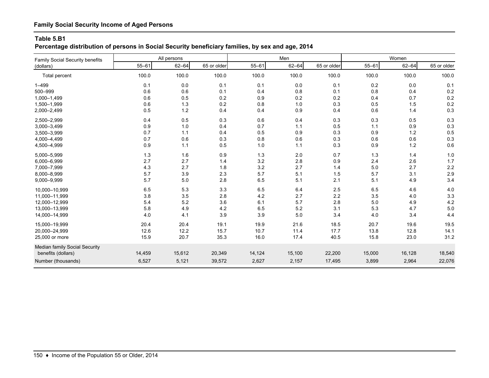## **Percentage distribution of persons in Social Security beneficiary families, by sex and age, 2014**

| Family Social Security benefits |           | All persons |             |           | Men       |             |           | Women     |             |
|---------------------------------|-----------|-------------|-------------|-----------|-----------|-------------|-----------|-----------|-------------|
| (dollars)                       | $55 - 61$ | $62 - 64$   | 65 or older | $55 - 61$ | $62 - 64$ | 65 or older | $55 - 61$ | $62 - 64$ | 65 or older |
| Total percent                   | 100.0     | 100.0       | 100.0       | 100.0     | 100.0     | 100.0       | 100.0     | 100.0     | 100.0       |
| $1 - 499$                       | 0.1       | 0.0         | 0.1         | 0.1       | 0.0       | 0.1         | 0.2       | 0.0       | 0.1         |
| 500-999                         | 0.6       | 0.6         | 0.1         | 0.4       | 0.8       | 0.1         | 0.8       | 0.4       | 0.2         |
| 1,000-1,499                     | 0.6       | 0.5         | 0.2         | 0.9       | 0.2       | 0.2         | 0.4       | 0.7       | 0.2         |
| 1,500-1,999                     | 0.6       | 1.3         | $0.2\,$     | 0.8       | 1.0       | 0.3         | 0.5       | 1.5       | 0.2         |
| 2,000-2,499                     | 0.5       | 1.2         | 0.4         | 0.4       | 0.9       | 0.4         | 0.6       | 1.4       | 0.3         |
| 2,500-2,999                     | 0.4       | 0.5         | 0.3         | 0.6       | 0.4       | 0.3         | 0.3       | 0.5       | 0.3         |
| 3,000-3,499                     | 0.9       | 1.0         | 0.4         | 0.7       | 1.1       | 0.5         | 1.1       | 0.9       | 0.3         |
| 3,500-3,999                     | 0.7       | 1.1         | 0.4         | 0.5       | 0.9       | 0.3         | 0.9       | 1.2       | 0.5         |
| 4,000-4,499                     | 0.7       | 0.6         | 0.3         | 0.8       | 0.6       | 0.3         | 0.6       | 0.6       | 0.3         |
| 4,500-4,999                     | 0.9       | 1.1         | 0.5         | 1.0       | 1.1       | 0.3         | 0.9       | 1.2       | 0.6         |
| 5,000-5,999                     | 1.3       | 1.6         | $0.9\,$     | 1.3       | 2.0       | 0.7         | 1.3       | 1.4       | 1.0         |
| 6,000-6,999                     | 2.7       | 2.7         | 1.4         | 3.2       | 2.8       | 0.9         | 2.4       | 2.6       | 1.7         |
| 7,000-7,999                     | 4.3       | 2.7         | 1.8         | 3.2       | 2.7       | 1.4         | 5.0       | 2.7       | 2.2         |
| 8,000-8,999                     | 5.7       | 3.9         | 2.3         | 5.7       | 5.1       | 1.5         | 5.7       | 3.1       | 2.9         |
| 9,000-9,999                     | 5.7       | 5.0         | 2.8         | 6.5       | 5.1       | 2.1         | 5.1       | 4.9       | 3.4         |
| 10,000-10,999                   | 6.5       | 5.3         | 3.3         | 6.5       | 6.4       | 2.5         | 6.5       | 4.6       | 4.0         |
| 11,000-11,999                   | 3.8       | 3.5         | 2.8         | 4.2       | 2.7       | 2.2         | 3.5       | 4.0       | 3.3         |
| 12,000-12,999                   | 5.4       | 5.2         | 3.6         | 6.1       | 5.7       | 2.8         | 5.0       | 4.9       | 4.2         |
| 13,000-13,999                   | 5.8       | 4.9         | 4.2         | 6.5       | 5.2       | 3.1         | 5.3       | 4.7       | 5.0         |
| 14,000-14,999                   | 4.0       | 4.1         | 3.9         | 3.9       | 5.0       | 3.4         | 4.0       | 3.4       | 4.4         |
| 15,000-19,999                   | 20.4      | 20.4        | 19.1        | 19.9      | 21.6      | 18.5        | 20.7      | 19.6      | 19.5        |
| 20,000-24,999                   | 12.6      | 12.2        | 15.7        | 10.7      | 11.4      | 17.7        | 13.8      | 12.8      | 14.1        |
| 25,000 or more                  | 15.9      | 20.7        | 35.3        | 16.0      | 17.4      | 40.5        | 15.8      | 23.0      | 31.2        |
| Median family Social Security   |           |             |             |           |           |             |           |           |             |
| benefits (dollars)              | 14,459    | 15,612      | 20,349      | 14,124    | 15,100    | 22,200      | 15,000    | 16,128    | 18,540      |
| Number (thousands)              | 6,527     | 5,121       | 39,572      | 2,627     | 2,157     | 17,495      | 3,899     | 2,964     | 22,076      |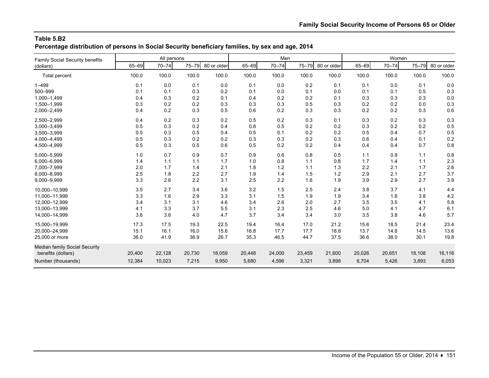**Percentage distribution of persons in Social Security beneficiary families, by sex and age, 2014**

| <b>Family Social Security benefits</b> |        | All persons |        |             |        | Men       |        |             |        | Women     |           |             |
|----------------------------------------|--------|-------------|--------|-------------|--------|-----------|--------|-------------|--------|-----------|-----------|-------------|
| (dollars)                              | 65-69  | $70 - 74$   | 75-79  | 80 or older | 65-69  | $70 - 74$ | 75-79  | 80 or older | 65-69  | $70 - 74$ | $75 - 79$ | 80 or older |
| <b>Total percent</b>                   | 100.0  | 100.0       | 100.0  | 100.0       | 100.0  | 100.0     | 100.0  | 100.0       | 100.0  | 100.0     | 100.0     | 100.0       |
| $1 - 499$                              | 0.1    | 0.0         | 0.1    | 0.0         | 0.1    | 0.0       | 0.2    | 0.1         | 0.1    | 0.0       | 0.1       | 0.0         |
| 500-999                                | 0.1    | 0.1         | 0.3    | 0.2         | 0.1    | 0.0       | 0.1    | 0.0         | 0.1    | 0.1       | 0.5       | 0.3         |
| 1,000-1,499                            | 0.4    | 0.3         | 0.2    | 0.1         | 0.4    | 0.2       | 0.2    | 0.1         | 0.3    | 0.3       | 0.3       | 0.0         |
| 1,500-1,999                            | 0.3    | 0.2         | 0.2    | 0.3         | 0.3    | 0.3       | 0.5    | 0.3         | 0.2    | 0.2       | 0.0       | 0.3         |
| 2,000-2,499                            | 0.4    | 0.2         | 0.3    | 0.5         | 0.6    | 0.2       | 0.3    | 0.3         | 0.2    | 0.2       | 0.3       | 0.6         |
| 2,500-2,999                            | 0.4    | 0.2         | 0.3    | 0.2         | 0.5    | 0.2       | 0.3    | 0.1         | 0.3    | 0.2       | 0.3       | 0.3         |
| 3,000-3,499                            | 0.5    | 0.3         | 0.2    | 0.4         | 0.8    | 0.5       | 0.2    | 0.2         | 0.3    | 0.2       | 0.2       | 0.5         |
| 3,500-3,999                            | 0.5    | 0.3         | 0.5    | 0.4         | 0.5    | 0.1       | 0.2    | 0.2         | 0.5    | 0.4       | 0.7       | 0.5         |
| 4,000-4,499                            | 0.5    | 0.3         | 0.2    | 0.2         | 0.3    | 0.3       | 0.2    | 0.3         | 0.6    | 0.4       | 0.1       | 0.2         |
| 4,500-4,999                            | 0.5    | 0.3         | 0.5    | 0.6         | 0.5    | 0.2       | 0.2    | 0.4         | 0.4    | 0.4       | 0.7       | 0.8         |
| 5,000-5,999                            | 1.0    | 0.7         | 0.9    | 0.7         | 0.9    | 0.6       | 0.8    | 0.5         | 1.1    | 0.9       | 1.1       | 0.8         |
| 6,000-6,999                            | 1.4    | 1.1         | 1.1    | 1.7         | 1.0    | 0.8       | 1.1    | 0.8         | 1.7    | 1.4       | 1.1       | 2.3         |
| 7,000-7,999                            | 2.0    | 1.7         | 1.4    | 2.1         | 1.8    | 1.2       | 1.1    | 1.3         | 2.2    | 2.1       | 1.7       | 2.6         |
| 8,000-8,999                            | 2.5    | 1.8         | 2.2    | 2.7         | 1.9    | 1.4       | 1.5    | $1.2$       | 2.9    | 2.1       | 2.7       | 3.7         |
| 9,000-9,999                            | 3.3    | 2.6         | 2.2    | 3.1         | 2.5    | 2.2       | 1.6    | 1.9         | 3.9    | 2.9       | 2.7       | 3.9         |
| 10,000-10,999                          | 3.5    | 2.7         | 3.4    | 3.6         | 3.2    | 1.5       | 2.5    | 2.4         | 3.8    | 3.7       | 4.1       | 4.4         |
| 11.000-11.999                          | 3.3    | 1.6         | 2.9    | 3.3         | 3.1    | 1.5       | 1.9    | 1.9         | 3.4    | 1.8       | 3.8       | 4.2         |
| 12,000-12,999                          | 3.4    | 3.1         | 3.1    | 4.6         | 3.4    | 2.6       | 2.0    | 2.7         | 3.5    | 3.5       | 4.1       | 5.8         |
| 13,000-13,999                          | 4.1    | 3.3         | 3.7    | 5.5         | 3.1    | 2.3       | 2.5    | 4.6         | 5.0    | 4.1       | 4.7       | 6.1         |
| 14,000-14,999                          | 3.6    | 3.6         | 4.0    | 4.7         | 3.7    | 3.4       | 3.4    | 3.0         | 3.5    | 3.8       | 4.6       | 5.7         |
| 15,000-19,999                          | 17.3   | 17.5        | 19.3   | 22.5        | 19.4   | 16.4      | 17.0   | 21.2        | 15.6   | 18.5      | 21.4      | 23.4        |
| 20.000-24.999                          | 15.1   | 16.1        | 16.0   | 15.6        | 16.8   | 17.7      | 17.7   | 18.8        | 13.7   | 14.8      | 14.5      | 13.6        |
| 25,000 or more                         | 36.0   | 41.9        | 36.9   | 26.7        | 35.3   | 46.5      | 44.7   | 37.5        | 36.6   | 38.0      | 30.1      | 19.8        |
| Median family Social Security          |        |             |        |             |        |           |        |             |        |           |           |             |
| benefits (dollars)                     | 20,400 | 22,128      | 20,730 | 18,059      | 20,448 | 24,000    | 23,459 | 21,600      | 20,026 | 20,651    | 18,108    | 16,116      |
| Number (thousands)                     | 12,384 | 10,023      | 7,215  | 9,950       | 5,680  | 4,596     | 3,321  | 3,898       | 6,704  | 5,426     | 3,893     | 6,053       |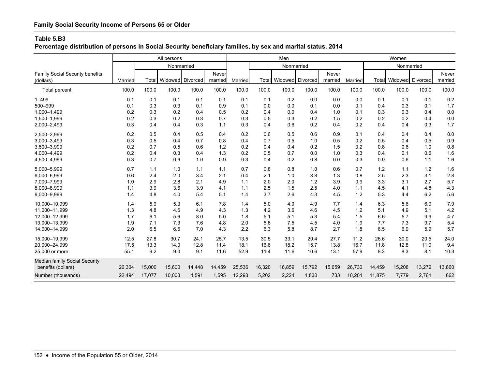**Percentage distribution of persons in Social Security beneficiary families, by sex and marital status, 2014**

|                                                     |         |        | All persons                   |        |                  |         |        | Men                    |        |                  |         |        | Women         |          |                  |
|-----------------------------------------------------|---------|--------|-------------------------------|--------|------------------|---------|--------|------------------------|--------|------------------|---------|--------|---------------|----------|------------------|
|                                                     |         |        | Nonmarried                    |        |                  |         |        | Nonmarried             |        |                  |         |        | Nonmarried    |          |                  |
| <b>Family Social Security benefits</b><br>(dollars) | Married |        | <b>Total Widowed Divorced</b> |        | Never<br>married | Married |        | Total Widowed Divorced |        | Never<br>married | Married |        | Total Widowed | Divorced | Never<br>married |
| Total percent                                       | 100.0   | 100.0  | 100.0                         | 100.0  | 100.0            | 100.0   | 100.0  | 100.0                  | 100.0  | 100.0            | 100.0   | 100.0  | 100.0         | 100.0    | 100.0            |
| $1 - 499$                                           | 0.1     | 0.1    | 0.1                           | 0.1    | 0.1              | 0.1     | 0.1    | 0.2                    | 0.0    | 0.0              | 0.0     | 0.1    | 0.1           | 0.1      | 0.2              |
| 500-999                                             | 0.1     | 0.3    | 0.3                           | 0.1    | 0.9              | 0.1     | 0.0    | 0.0                    | 0.1    | 0.0              | 0.1     | 0.4    | 0.3           | 0.1      | 1.7              |
| 1,000-1,499                                         | 0.2     | 0.3    | 0.2                           | 0.4    | 0.5              | 0.2     | 0.4    | 0.0                    | 0.4    | 1.0              | 0.1     | 0.3    | 0.3           | 0.4      | 0.0              |
| 1,500-1,999                                         | 0.2     | 0.3    | 0.2                           | 0.3    | 0.7              | 0.3     | 0.5    | 0.3                    | 0.2    | 1.5              | 0.2     | 0.2    | 0.2           | 0.4      | 0.0              |
| 2,000-2,499                                         | 0.3     | 0.4    | 0.4                           | 0.3    | 1.1              | 0.3     | 0.4    | 0.6                    | 0.2    | 0.4              | 0.2     | 0.4    | 0.4           | 0.3      | 1.7              |
| 2,500-2,999                                         | 0.2     | 0.5    | 0.4                           | 0.5    | 0.4              | 0.2     | 0.6    | 0.5                    | 0.6    | 0.9              | 0.1     | 0.4    | 0.4           | 0.4      | 0.0              |
| 3,000-3,499                                         | 0.3     | 0.5    | 0.4                           | 0.7    | 0.8              | 0.4     | 0.7    | 0.5                    | 1.0    | 0.5              | 0.2     | 0.5    | 0.4           | 0.5      | 0.9              |
| 3,500-3,999                                         | 0.2     | 0.7    | 0.5                           | 0.6    | 1.2              | 0.2     | 0.4    | 0.4                    | 0.2    | 1.5              | 0.2     | 0.8    | 0.6           | 1.0      | 0.8              |
| 4,000-4,499                                         | 0.2     | 0.4    | 0.3                           | 0.4    | 1.3              | 0.2     | 0.5    | 0.7                    | 0.0    | 1.0              | 0.3     | 0.4    | 0.1           | 0.6      | 1.6              |
| 4,500-4,999                                         | 0.3     | 0.7    | 0.6                           | 1.0    | 0.9              | 0.3     | 0.4    | 0.2                    | 0.8    | 0.0              | 0.3     | 0.9    | 0.6           | 1.1      | 1.6              |
| 5,000-5,999                                         | 0.7     | 1.1    | 1.0                           | 1.1    | 1.1              | 0.7     | 0.8    | 0.8                    | 1.0    | 0.6              | 0.7     | 1.2    | 1.1           | 1.2      | 1.6              |
| 6,000-6,999                                         | 0.6     | 2.4    | 2.0                           | 3.4    | 2.1              | 0.4     | 2.1    | 1.0                    | 3.8    | 1.3              | 0.8     | 2.5    | 2.3           | 3.1      | 2.8              |
| 7,000-7,999                                         | 1.0     | 2.9    | 2.8                           | 2.1    | 4.9              | 1.1     | 2.0    | 2.0                    | 1.2    | 3.9              | 0.9     | 3.3    | 3.1           | 2.7      | 5.7              |
| 8,000-8,999                                         | 1.1     | 3.9    | 3.6                           | 3.9    | 4.1              | 1.1     | 2.5    | 1.5                    | 2.5    | 4.0              | 1.1     | 4.5    | 4.1           | 4.8      | 4.3              |
| 9,000-9,999                                         | 1.4     | 4.8    | 4.0                           | 5.4    | 5.1              | 1.4     | 3.7    | 2.6                    | 4.3    | 4.5              | 1.2     | 5.3    | 4.4           | 6.2      | 5.6              |
| 10,000-10,999                                       | 1.4     | 5.9    | 5.3                           | 6.1    | 7.8              | 1.4     | 5.0    | 4.0                    | 4.9    | 7.7              | 1.4     | 6.3    | 5.6           | 6.9      | 7.9              |
| 11,000-11,999                                       | 1.3     | 4.8    | 4.6                           | 4.9    | 4.3              | 1.3     | 4.2    | 3.6                    | 4.6    | 4.5              | 1.2     | 5.1    | 4.9           | 5.1      | 4.2              |
| 12.000-12.999                                       | 1.7     | 6.1    | 5.6                           | 8.0    | 5.0              | 1.8     | 5.1    | 5.1                    | 5.3    | 5.4              | 1.5     | 6.6    | 5.7           | 9.9      | 4.7              |
| 13,000-13,999                                       | 1.9     | 7.1    | 7.3                           | 7.6    | 4.8              | 2.0     | 5.8    | 7.5                    | 4.5    | 4.0              | 1.9     | 7.7    | 7.3           | 9.7      | 5.4              |
| 14,000-14,999                                       | 2.0     | 6.5    | 6.6                           | 7.0    | 4.3              | 2.2     | 6.3    | 5.8                    | 8.7    | 2.7              | 1.8     | 6.5    | 6.9           | 5.9      | 5.7              |
| 15.000-19.999                                       | 12.5    | 27.8   | 30.7                          | 24.1   | 25.7             | 13.5    | 30.5   | 33.1                   | 29.4   | 27.7             | 11.2    | 26.6   | 30.0          | 20.5     | 24.0             |
| 20,000-24,999                                       | 17.5    | 13.3   | 14.0                          | 12.8   | 11.4             | 18.1    | 16.6   | 18.2                   | 15.7   | 13.8             | 16.7    | 11.8   | 12.8          | 11.0     | 9.4              |
| 25,000 or more                                      | 55.1    | 9.2    | 9.0                           | 9.1    | 11.6             | 52.9    | 11.4   | 11.6                   | 10.6   | 13.1             | 57.9    | 8.3    | 8.3           | 8.1      | 10.3             |
| Median family Social Security                       |         |        |                               |        |                  |         |        |                        |        |                  |         |        |               |          |                  |
| benefits (dollars)                                  | 26,304  | 15,000 | 15,600                        | 14,448 | 14,459           | 25,536  | 16,320 | 16,859                 | 15,792 | 15,659           | 26,730  | 14,459 | 15,208        | 13,272   | 13,860           |
| Number (thousands)                                  | 22,494  | 17,077 | 10,003                        | 4,591  | 1,595            | 12,293  | 5,202  | 2,224                  | 1,830  | 733              | 10,201  | 11,875 | 7,779         | 2,761    | 862              |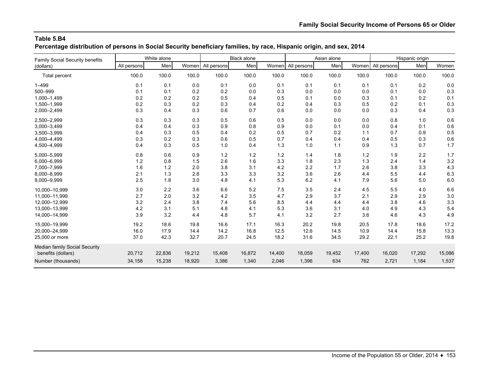**Percentage distribution of persons in Social Security beneficiary families, by race, Hispanic origin, and sex, 2014**

| Family Social Security benefits |             | White alone |        |             | <b>Black alone</b> |        |             | Asian alone |        |             | Hispanic origin |        |
|---------------------------------|-------------|-------------|--------|-------------|--------------------|--------|-------------|-------------|--------|-------------|-----------------|--------|
| (dollars)                       | All persons | Men         | Women  | All persons | Men                | Women  | All persons | Men         | Women  | All persons | Men             | Women  |
| Total percent                   | 100.0       | 100.0       | 100.0  | 100.0       | 100.0              | 100.0  | 100.0       | 100.0       | 100.0  | 100.0       | 100.0           | 100.0  |
| $1 - 499$                       | 0.1         | 0.1         | 0.0    | 0.1         | 0.0                | 0.1    | 0.1         | 0.1         | 0.1    | 0.1         | 0.2             | 0.0    |
| 500-999                         | 0.1         | 0.1         | 0.2    | 0.2         | 0.0                | 0.3    | 0.0         | 0.0         | 0.0    | 0.1         | 0.0             | 0.3    |
| 1,000-1,499                     | 0.2         | 0.2         | 0.2    | 0.5         | 0.4                | 0.5    | 0.1         | 0.0         | 0.3    | 0.1         | 0.2             | 0.1    |
| 1,500-1,999                     | 0.2         | 0.3         | 0.2    | 0.3         | 0.4                | 0.2    | 0.4         | 0.3         | 0.5    | 0.2         | 0.1             | 0.3    |
| 2,000-2,499                     | 0.3         | 0.4         | 0.3    | 0.6         | 0.7                | 0.6    | 0.0         | 0.0         | 0.0    | 0.3         | 0.4             | 0.3    |
| 2,500-2,999                     | 0.3         | 0.3         | 0.3    | 0.5         | 0.6                | 0.5    | 0.0         | 0.0         | 0.0    | 0.8         | 1.0             | 0.6    |
| 3,000-3,499                     | 0.4         | 0.4         | 0.3    | 0.9         | 0.8                | 0.9    | 0.0         | 0.1         | 0.0    | 0.4         | 0.1             | 0.6    |
| 3,500-3,999                     | 0.4         | 0.3         | 0.5    | 0.4         | 0.2                | 0.5    | 0.7         | 0.2         | 1.1    | 0.7         | 0.9             | 0.5    |
| 4,000-4,499                     | 0.3         | 0.2         | 0.3    | 0.6         | 0.5                | 0.7    | 0.4         | 0.4         | 0.4    | 0.5         | 0.3             | 0.6    |
| 4,500-4,999                     | 0.4         | 0.3         | 0.5    | 1.0         | 0.4                | 1.3    | 1.0         | 1.1         | 0.9    | 1.3         | 0.7             | 1.7    |
| 5,000-5,999                     | 0.8         | 0.6         | 0.9    | 1.2         | 1.2                | $1.2$  | 1.4         | 1.8         | 1.2    | 1.9         | 2.2             | 1.7    |
| 6,000-6,999                     | 1.2         | 0.8         | 1.5    | 2.6         | 1.6                | 3.3    | 1.8         | 2.3         | 1.3    | 2.4         | 1.4             | 3.2    |
| 7,000-7,999                     | 1.6         | $1.2$       | 2.0    | 3.8         | 3.1                | 4.2    | 2.2         | 1.7         | 2.6    | 3.8         | 3.3             | 4.3    |
| 8,000-8,999                     | 2.1         | 1.3         | 2.8    | 3.3         | 3.3                | 3.2    | 3.6         | 2.6         | 4.4    | 5.5         | 4.4             | 6.3    |
| 9,000-9,999                     | 2.5         | 1.8         | 3.0    | 4.8         | 4.1                | 5.3    | 6.2         | 4.1         | 7.9    | 5.6         | 5.0             | 6.0    |
| 10,000-10,999                   | 3.0         | 2.2         | 3.6    | 6.6         | 5.2                | 7.5    | 3.5         | 2.4         | 4.5    | 5.5         | 4.0             | 6.6    |
| 11,000-11,999                   | 2.7         | 2.0         | 3.2    | 4.2         | 3.5                | 4.7    | 2.9         | 3.7         | 2.1    | 2.9         | 2.9             | 3.0    |
| 12,000-12,999                   | 3.2         | 2.4         | 3.8    | 7.4         | 5.6                | 8.5    | 4.4         | 4.4         | 4.4    | 3.8         | 4.6             | 3.3    |
| 13.000-13.999                   | 4.2         | 3.1         | 5.1    | 4.8         | 4.1                | 5.3    | 3.6         | 3.1         | 4.0    | 4.9         | 4.3             | 5.4    |
| 14,000-14,999                   | 3.9         | 3.2         | 4.4    | 4.8         | 5.7                | 4.1    | 3.2         | 2.7         | 3.6    | 4.6         | 4.3             | 4.9    |
| 15,000-19,999                   | 19.2        | 18.6        | 19.8   | 16.6        | 17.1               | 16.3   | 20.2        | 19.8        | 20.5   | 17.8        | 18.6            | 17.2   |
| 20,000-24,999                   | 16.0        | 17.9        | 14.4   | 14.2        | 16.8               | 12.5   | 12.6        | 14.5        | 10.9   | 14.4        | 15.8            | 13.3   |
| 25,000 or more                  | 37.0        | 42.3        | 32.7   | 20.7        | 24.5               | 18.2   | 31.6        | 34.5        | 29.2   | 22.1        | 25.2            | 19.8   |
| Median family Social Security   |             |             |        |             |                    |        |             |             |        |             |                 |        |
| benefits (dollars)              | 20,712      | 22,836      | 19,212 | 15,408      | 16,872             | 14,400 | 18,059      | 19,452      | 17,400 | 16,020      | 17,292          | 15,086 |
| Number (thousands)              | 34,158      | 15,238      | 18,920 | 3,386       | 1,340              | 2,046  | 1,396       | 634         | 762    | 2,721       | 1,184           | 1,537  |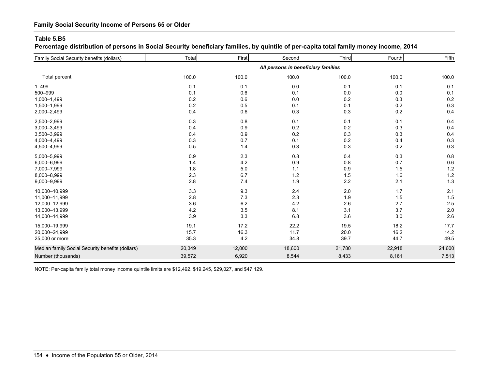**Percentage distribution of persons in Social Security beneficiary families, by quintile of per-capita total family money income, 2014**

| Family Social Security benefits (dollars)        | Total  | First  | Second                              | Third  | Fourth | Fifth  |
|--------------------------------------------------|--------|--------|-------------------------------------|--------|--------|--------|
|                                                  |        |        | All persons in beneficiary families |        |        |        |
| Total percent                                    | 100.0  | 100.0  | 100.0                               | 100.0  | 100.0  | 100.0  |
| $1 - 499$                                        | 0.1    | 0.1    | 0.0                                 | 0.1    | 0.1    | 0.1    |
| 500-999                                          | 0.1    | 0.6    | 0.1                                 | 0.0    | 0.0    | 0.1    |
| 1,000-1,499                                      | 0.2    | 0.6    | 0.0                                 | 0.2    | 0.3    | 0.2    |
| 1,500-1,999                                      | 0.2    | 0.5    | 0.1                                 | 0.1    | 0.2    | 0.3    |
| 2,000-2,499                                      | 0.4    | 0.6    | 0.3                                 | 0.3    | 0.2    | 0.4    |
| 2,500-2,999                                      | 0.3    | 0.8    | 0.1                                 | 0.1    | 0.1    | 0.4    |
| 3,000-3,499                                      | 0.4    | 0.9    | 0.2                                 | 0.2    | 0.3    | 0.4    |
| 3,500-3,999                                      | 0.4    | 0.9    | 0.2                                 | 0.3    | 0.3    | 0.4    |
| 4,000-4,499                                      | 0.3    | 0.7    | 0.1                                 | 0.2    | 0.4    | 0.3    |
| 4,500-4,999                                      | 0.5    | 1.4    | 0.3                                 | 0.3    | 0.2    | 0.3    |
| 5,000-5,999                                      | 0.9    | 2.3    | 0.8                                 | 0.4    | 0.3    | 0.8    |
| 6,000-6,999                                      | 1.4    | 4.2    | 0.9                                 | 0.8    | 0.7    | 0.6    |
| 7,000-7,999                                      | 1.8    | 5.0    | 1.1                                 | 0.9    | 1.5    | 1.2    |
| 8,000-8,999                                      | 2.3    | 6.7    | 1.2                                 | 1.5    | 1.6    | $1.2$  |
| 9,000-9,999                                      | 2.8    | 7.4    | 1.9                                 | 2.2    | 2.1    | 1.3    |
| 10,000-10,999                                    | 3.3    | 9.3    | 2.4                                 | 2.0    | 1.7    | 2.1    |
| 11,000-11,999                                    | 2.8    | 7.3    | 2.3                                 | 1.9    | 1.5    | 1.5    |
| 12,000-12,999                                    | 3.6    | 6.2    | 4.2                                 | 2.6    | 2.7    | 2.5    |
| 13,000-13,999                                    | 4.2    | 3.5    | 8.1                                 | 3.1    | 3.7    | 2.0    |
| 14,000-14,999                                    | 3.9    | 3.3    | 6.8                                 | 3.6    | 3.0    | 2.6    |
| 15,000-19,999                                    | 19.1   | 17.2   | 22.2                                | 19.5   | 18.2   | 17.7   |
| 20,000-24,999                                    | 15.7   | 16.3   | 11.7                                | 20.0   | 16.2   | 14.2   |
| 25,000 or more                                   | 35.3   | 4.2    | 34.8                                | 39.7   | 44.7   | 49.5   |
| Median family Social Security benefits (dollars) | 20,349 | 12,000 | 18,600                              | 21,780 | 22,918 | 24,600 |
| Number (thousands)                               | 39,572 | 6,920  | 8,544                               | 8,433  | 8,161  | 7,513  |
|                                                  |        |        |                                     |        |        |        |

NOTE: Per-capita family total money income quintile limits are \$12,492, \$19,245, \$29,027, and \$47,129.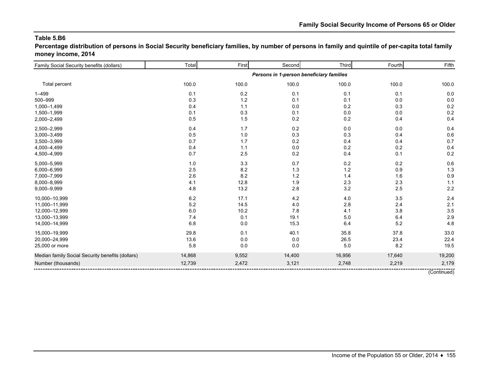**Percentage distribution of persons in Social Security beneficiary families, by number of persons in family and quintile of per-capita total family money income, 2014**

| Family Social Security benefits (dollars)        | Total   | First | Second                                   | Third   | Fourth | Fifth  |
|--------------------------------------------------|---------|-------|------------------------------------------|---------|--------|--------|
|                                                  |         |       | Persons in 1-person beneficiary families |         |        |        |
| Total percent                                    | 100.0   | 100.0 | 100.0                                    | 100.0   | 100.0  | 100.0  |
| $1 - 499$                                        | 0.1     | 0.2   | 0.1                                      | 0.1     | 0.1    | 0.0    |
| 500-999                                          | 0.3     | 1.2   | 0.1                                      | 0.1     | 0.0    | 0.0    |
| 1,000-1,499                                      | 0.4     | 1.1   | 0.0                                      | 0.2     | 0.3    | 0.2    |
| 1,500-1,999                                      | 0.1     | 0.3   | 0.1                                      | $0.0\,$ | 0.0    | 0.2    |
| 2,000-2,499                                      | 0.5     | 1.5   | 0.2                                      | 0.2     | 0.4    | 0.4    |
| 2,500-2,999                                      | 0.4     | 1.7   | 0.2                                      | $0.0\,$ | 0.0    | 0.4    |
| 3,000-3,499                                      | 0.5     | 1.0   | 0.3                                      | 0.3     | 0.4    | 0.6    |
| 3,500-3,999                                      | 0.7     | 1.7   | 0.2                                      | 0.4     | 0.4    | 0.7    |
| 4,000-4,499                                      | 0.4     | 1.1   | 0.0                                      | 0.2     | 0.2    | 0.4    |
| 4,500-4,999                                      | 0.7     | 2.5   | 0.2                                      | 0.4     | 0.1    | 0.2    |
| 5,000-5,999                                      | 1.0     | 3.3   | 0.7                                      | 0.2     | 0.2    | 0.6    |
| 6,000-6,999                                      | 2.5     | 8.2   | 1.3                                      | $1.2$   | 0.9    | 1.3    |
| 7,000-7,999                                      | 2.6     | 8.2   | 1.2                                      | 1.4     | 1.6    | 0.9    |
| 8,000-8,999                                      | 4.1     | 12.8  | 1.9                                      | 2.3     | 2.3    | 1.1    |
| 9,000-9,999                                      | 4.8     | 13.2  | 2.8                                      | 3.2     | 2.5    | 2.2    |
| 10,000-10,999                                    | $6.2\,$ | 17.1  | 4.2                                      | 4.0     | 3.5    | 2.4    |
| 11,000-11,999                                    | 5.2     | 14.5  | 4.0                                      | 2.8     | 2.4    | 2.1    |
| 12,000-12,999                                    | 6.0     | 10.2  | 7.8                                      | 4.1     | 3.8    | 3.5    |
| 13,000-13,999                                    | 7.4     | 0.1   | 19.1                                     | 5.0     | 6.4    | 2.9    |
| 14,000-14,999                                    | 6.8     | 0.0   | 15.3                                     | 6.4     | 5.2    | 4.8    |
| 15,000-19,999                                    | 29.8    | 0.1   | 40.1                                     | 35.8    | 37.8   | 33.0   |
| 20,000-24,999                                    | 13.6    | 0.0   | 0.0                                      | 26.5    | 23.4   | 22.4   |
| 25,000 or more                                   | 5.8     | 0.0   | 0.0                                      | $5.0\,$ | 8.2    | 19.5   |
| Median family Social Security benefits (dollars) | 14,868  | 9,552 | 14,400                                   | 16,956  | 17,640 | 19,200 |
| Number (thousands)                               | 12,739  | 2,472 | 3,121                                    | 2,748   | 2,219  | 2,179  |

(Continued)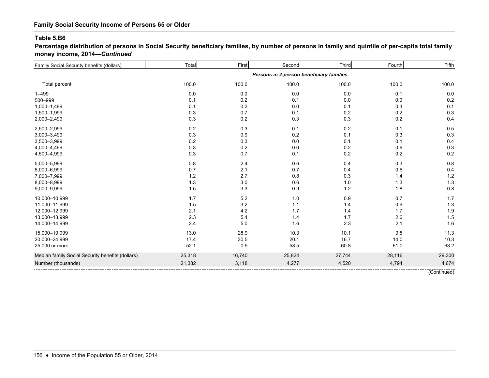**Percentage distribution of persons in Social Security beneficiary families, by number of persons in family and quintile of per-capita total family money income, 2014—***Continued*

| Family Social Security benefits (dollars)        | Total   | First  | Second                                   | Third   | Fourth | Fifth  |
|--------------------------------------------------|---------|--------|------------------------------------------|---------|--------|--------|
|                                                  |         |        | Persons in 2-person beneficiary families |         |        |        |
| Total percent                                    | 100.0   | 100.0  | 100.0                                    | 100.0   | 100.0  | 100.0  |
| $1 - 499$                                        | 0.0     | 0.0    | 0.0                                      | 0.0     | 0.1    | 0.0    |
| 500-999                                          | 0.1     | 0.2    | 0.1                                      | 0.0     | 0.0    | 0.2    |
| 1,000-1,499                                      | 0.1     | 0.2    | 0.0                                      | 0.1     | 0.3    | 0.1    |
| 1,500-1,999                                      | 0.3     | 0.7    | 0.1                                      | $0.2\,$ | 0.2    | 0.3    |
| 2,000-2,499                                      | 0.3     | 0.2    | 0.3                                      | 0.3     | 0.2    | 0.4    |
| 2,500-2,999                                      | 0.2     | 0.3    | 0.1                                      | $0.2\,$ | 0.1    | 0.5    |
| 3,000-3,499                                      | 0.3     | 0.9    | 0.2                                      | 0.1     | 0.3    | 0.3    |
| 3,500-3,999                                      | 0.2     | 0.3    | 0.0                                      | 0.1     | 0.1    | 0.4    |
| 4,000-4,499                                      | 0.3     | 0.2    | 0.0                                      | $0.2\,$ | 0.6    | 0.3    |
| 4,500-4,999                                      | $0.3\,$ | 0.7    | 0.1                                      | 0.2     | 0.2    | 0.2    |
| 5,000-5,999                                      | 0.8     | 2.4    | 0.6                                      | 0.4     | 0.3    | 0.8    |
| 6,000-6,999                                      | 0.7     | 2.1    | 0.7                                      | 0.4     | 0.6    | 0.4    |
| 7,000-7,999                                      | $1.2$   | 2.7    | 0.8                                      | 0.3     | 1.4    | 1.2    |
| 8,000-8,999                                      | 1.3     | 3.0    | 0.6                                      | 1.0     | 1.3    | 1.3    |
| 9,000-9,999                                      | 1.5     | 3.3    | 0.9                                      | $1.2$   | 1.8    | 0.8    |
| 10,000-10,999                                    | 1.7     | 5.2    | 1.0                                      | 0.9     | 0.7    | 1.7    |
| 11,000-11,999                                    | 1.5     | 3.2    | 1.1                                      | 1.4     | 0.9    | 1.3    |
| 12,000-12,999                                    | 2.1     | 4.2    | 1.7                                      | 1.4     | 1.7    | 1.9    |
| 13,000-13,999                                    | 2.3     | 5.4    | 1.4                                      | 1.7     | 2.6    | 1.5    |
| 14,000-14,999                                    | 2.4     | 5.0    | 1.6                                      | 2.3     | 2.1    | 1.6    |
| 15,000-19,999                                    | 13.0    | 28.9   | 10.3                                     | 10.1    | 9.5    | 11.3   |
| 20,000-24,999                                    | 17.4    | 30.5   | 20.1                                     | 16.7    | 14.0   | 10.3   |
| 25,000 or more                                   | 52.1    | 0.5    | 58.5                                     | 60.8    | 61.0   | 63.2   |
| Median family Social Security benefits (dollars) | 25,318  | 16,740 | 25,824                                   | 27,744  | 28,116 | 29,300 |
| Number (thousands)                               | 21,382  | 3,118  | 4,277                                    | 4,520   | 4,794  | 4,674  |

(Continued)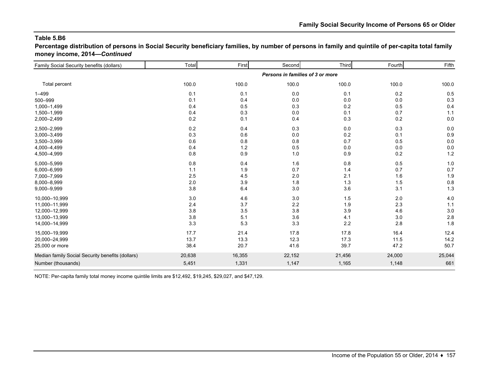**Percentage distribution of persons in Social Security beneficiary families, by number of persons in family and quintile of per-capita total family money income, 2014—***Continued*

| Family Social Security benefits (dollars)        | Total                            | First  | Second | Third   | Fourth | Fifth  |  |  |  |
|--------------------------------------------------|----------------------------------|--------|--------|---------|--------|--------|--|--|--|
|                                                  | Persons in families of 3 or more |        |        |         |        |        |  |  |  |
| Total percent                                    | 100.0                            | 100.0  | 100.0  | 100.0   | 100.0  | 100.0  |  |  |  |
| $1 - 499$                                        | 0.1                              | 0.1    | 0.0    | 0.1     | 0.2    | 0.5    |  |  |  |
| 500-999                                          | 0.1                              | 0.4    | 0.0    | 0.0     | 0.0    | 0.3    |  |  |  |
| 1,000-1,499                                      | 0.4                              | 0.5    | 0.3    | 0.2     | 0.5    | 0.4    |  |  |  |
| 1,500-1,999                                      | 0.4                              | 0.3    | 0.0    | 0.1     | 0.7    | 1.1    |  |  |  |
| 2,000-2,499                                      | 0.2                              | 0.1    | 0.4    | 0.3     | 0.2    | 0.0    |  |  |  |
| 2,500-2,999                                      | 0.2                              | 0.4    | 0.3    | 0.0     | 0.3    | 0.0    |  |  |  |
| 3,000-3,499                                      | 0.3                              | 0.6    | 0.0    | 0.2     | 0.1    | 0.9    |  |  |  |
| 3,500-3,999                                      | 0.6                              | 0.8    | 0.8    | 0.7     | 0.5    | 0.0    |  |  |  |
| 4,000-4,499                                      | 0.4                              | 1.2    | 0.5    | 0.0     | 0.0    | 0.0    |  |  |  |
| 4,500-4,999                                      | 0.8                              | 0.9    | 1.0    | $0.9\,$ | 0.2    | $1.2$  |  |  |  |
| 5,000-5,999                                      | 0.8                              | 0.4    | 1.6    | 0.8     | 0.5    | 1.0    |  |  |  |
| 6,000-6,999                                      | 1.1                              | 1.9    | 0.7    | 1.4     | 0.7    | 0.7    |  |  |  |
| 7,000-7,999                                      | 2.5                              | 4.5    | 2.0    | 2.1     | 1.6    | 1.9    |  |  |  |
| 8,000-8,999                                      | 2.0                              | 3.9    | 1.8    | 1.3     | 1.5    | 0.8    |  |  |  |
| 9,000-9,999                                      | 3.8                              | 6.4    | 3.0    | 3.6     | 3.1    | 1.3    |  |  |  |
| 10,000-10,999                                    | 3.0                              | 4.6    | 3.0    | 1.5     | 2.0    | 4.0    |  |  |  |
| 11,000-11,999                                    | 2.4                              | 3.7    | 2.2    | 1.9     | 2.3    | 1.1    |  |  |  |
| 12,000-12,999                                    | 3.8                              | 3.5    | 3.8    | 3.9     | 4.6    | 3.0    |  |  |  |
| 13,000-13,999                                    | 3.8                              | 5.1    | 3.6    | 4.1     | 3.0    | 2.8    |  |  |  |
| 14,000-14,999                                    | 3.3                              | 5.3    | 3.3    | 2.2     | 2.8    | 1.8    |  |  |  |
| 15,000-19,999                                    | 17.7                             | 21.4   | 17.8   | 17.8    | 16.4   | 12.4   |  |  |  |
| 20,000-24,999                                    | 13.7                             | 13.3   | 12.3   | 17.3    | 11.5   | 14.2   |  |  |  |
| 25,000 or more                                   | 38.4                             | 20.7   | 41.6   | 39.7    | 47.2   | 50.7   |  |  |  |
| Median family Social Security benefits (dollars) | 20,638                           | 16,355 | 22,152 | 21,456  | 24,000 | 25,044 |  |  |  |
| Number (thousands)                               | 5,451                            | 1,331  | 1,147  | 1,165   | 1,148  | 661    |  |  |  |
|                                                  |                                  |        |        |         |        |        |  |  |  |

NOTE: Per-capita family total money income quintile limits are \$12,492, \$19,245, \$29,027, and \$47,129.